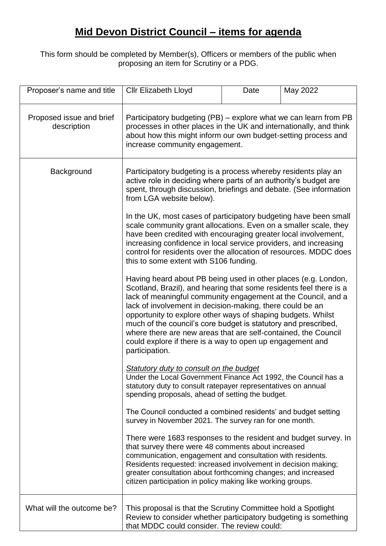## **Mid Devon District Council – items for agenda**

This form should be completed by Member(s), Officers or members of the public when proposing an item for Scrutiny or a PDG.

| Proposer's name and title               | <b>Cllr Elizabeth Lloyd</b>                                                                                                                                                                                                                                                                                                                                                                                                                                                                                                                                                                                                                                                                                                                                                                                                                                                                                                                                                                                                                                                                                                                                                                                                                                                                                                                                                                                                        | Date | May 2022 |
|-----------------------------------------|------------------------------------------------------------------------------------------------------------------------------------------------------------------------------------------------------------------------------------------------------------------------------------------------------------------------------------------------------------------------------------------------------------------------------------------------------------------------------------------------------------------------------------------------------------------------------------------------------------------------------------------------------------------------------------------------------------------------------------------------------------------------------------------------------------------------------------------------------------------------------------------------------------------------------------------------------------------------------------------------------------------------------------------------------------------------------------------------------------------------------------------------------------------------------------------------------------------------------------------------------------------------------------------------------------------------------------------------------------------------------------------------------------------------------------|------|----------|
| Proposed issue and brief<br>description | Participatory budgeting (PB) - explore what we can learn from PB<br>processes in other places in the UK and internationally, and think<br>about how this might inform our own budget-setting process and<br>increase community engagement.                                                                                                                                                                                                                                                                                                                                                                                                                                                                                                                                                                                                                                                                                                                                                                                                                                                                                                                                                                                                                                                                                                                                                                                         |      |          |
| Background                              | Participatory budgeting is a process whereby residents play an<br>active role in deciding where parts of an authority's budget are<br>spent, through discussion, briefings and debate. (See information<br>from LGA website below).<br>In the UK, most cases of participatory budgeting have been small<br>scale community grant allocations. Even on a smaller scale, they<br>have been credited with encouraging greater local involvement,<br>increasing confidence in local service providers, and increasing<br>control for residents over the allocation of resources. MDDC does<br>this to some extent with S106 funding.<br>Having heard about PB being used in other places (e.g. London,<br>Scotland, Brazil), and hearing that some residents feel there is a<br>lack of meaningful community engagement at the Council, and a<br>lack of involvement in decision-making, there could be an<br>opportunity to explore other ways of shaping budgets. Whilst<br>much of the council's core budget is statutory and prescribed,<br>where there are new areas that are self-contained, the Council<br>could explore if there is a way to open up engagement and<br>participation.<br><b>Statutory duty to consult on the budget</b><br>Under the Local Government Finance Act 1992, the Council has a<br>statutory duty to consult ratepayer representatives on annual<br>spending proposals, ahead of setting the budget. |      |          |
|                                         | The Council conducted a combined residents' and budget setting<br>survey in November 2021. The survey ran for one month.<br>There were 1683 responses to the resident and budget survey. In<br>that survey there were 48 comments about increased<br>communication, engagement and consultation with residents.<br>Residents requested: increased involvement in decision making;<br>greater consultation about forthcoming changes; and increased<br>citizen participation in policy making like working groups.                                                                                                                                                                                                                                                                                                                                                                                                                                                                                                                                                                                                                                                                                                                                                                                                                                                                                                                  |      |          |
| What will the outcome be?               | This proposal is that the Scrutiny Committee hold a Spotlight<br>Review to consider whether participatory budgeting is something<br>that MDDC could consider. The review could:                                                                                                                                                                                                                                                                                                                                                                                                                                                                                                                                                                                                                                                                                                                                                                                                                                                                                                                                                                                                                                                                                                                                                                                                                                                    |      |          |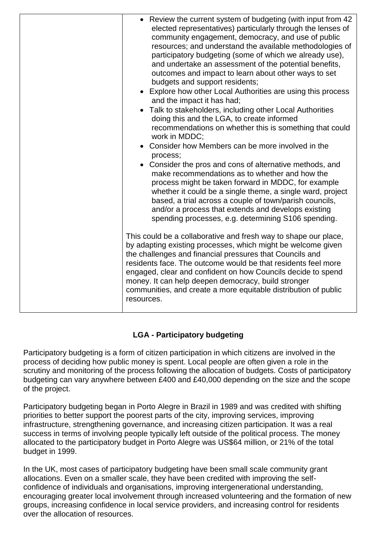| • Review the current system of budgeting (with input from 42<br>elected representatives) particularly through the lenses of<br>community engagement, democracy, and use of public<br>resources; and understand the available methodologies of<br>participatory budgeting (some of which we already use),<br>and undertake an assessment of the potential benefits,<br>outcomes and impact to learn about other ways to set<br>budgets and support residents;<br>• Explore how other Local Authorities are using this process<br>and the impact it has had;<br>• Talk to stakeholders, including other Local Authorities<br>doing this and the LGA, to create informed<br>recommendations on whether this is something that could<br>work in MDDC;<br>Consider how Members can be more involved in the<br>process;<br>Consider the pros and cons of alternative methods, and<br>make recommendations as to whether and how the<br>process might be taken forward in MDDC, for example<br>whether it could be a single theme, a single ward, project<br>based, a trial across a couple of town/parish councils,<br>and/or a process that extends and develops existing<br>spending processes, e.g. determining S106 spending. |
|-----------------------------------------------------------------------------------------------------------------------------------------------------------------------------------------------------------------------------------------------------------------------------------------------------------------------------------------------------------------------------------------------------------------------------------------------------------------------------------------------------------------------------------------------------------------------------------------------------------------------------------------------------------------------------------------------------------------------------------------------------------------------------------------------------------------------------------------------------------------------------------------------------------------------------------------------------------------------------------------------------------------------------------------------------------------------------------------------------------------------------------------------------------------------------------------------------------------------------|
| This could be a collaborative and fresh way to shape our place,<br>by adapting existing processes, which might be welcome given<br>the challenges and financial pressures that Councils and<br>residents face. The outcome would be that residents feel more<br>engaged, clear and confident on how Councils decide to spend<br>money. It can help deepen democracy, build stronger<br>communities, and create a more equitable distribution of public<br>resources.                                                                                                                                                                                                                                                                                                                                                                                                                                                                                                                                                                                                                                                                                                                                                        |

## **LGA - Participatory budgeting**

Participatory budgeting is a form of citizen participation in which citizens are involved in the process of deciding how public money is spent. Local people are often given a role in the scrutiny and monitoring of the process following the allocation of budgets. Costs of participatory budgeting can vary anywhere between £400 and £40,000 depending on the size and the scope of the project.

Participatory budgeting began in Porto Alegre in Brazil in 1989 and was credited with shifting priorities to better support the poorest parts of the city, improving services, improving infrastructure, strengthening governance, and increasing citizen participation. It was a real success in terms of involving people typically left outside of the political process. The money allocated to the participatory budget in Porto Alegre was US\$64 million, or 21% of the total budget in 1999.

In the UK, most cases of participatory budgeting have been small scale community grant allocations. Even on a smaller scale, they have been credited with improving the selfconfidence of individuals and organisations, improving intergenerational understanding, encouraging greater local involvement through increased volunteering and the formation of new groups, increasing confidence in local service providers, and increasing control for residents over the allocation of resources.